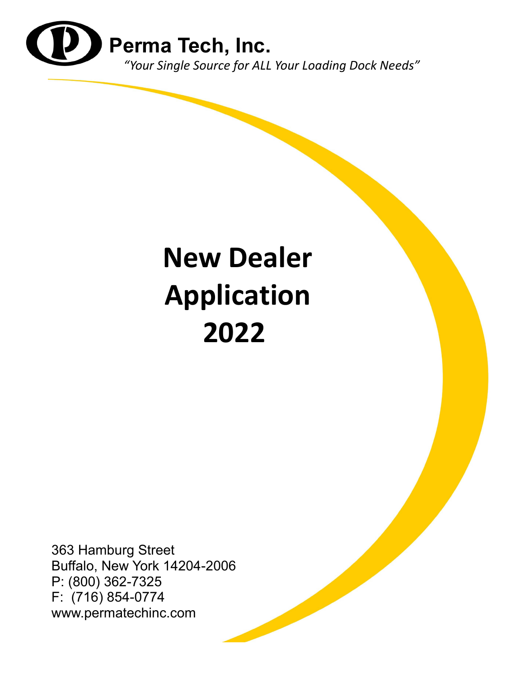

# **New Dealer Application 2022**

363 Hamburg Street Buffalo, New York 14204-2006 P: (800) 362-7325 F: (716) 854-0774 www.permatechinc.com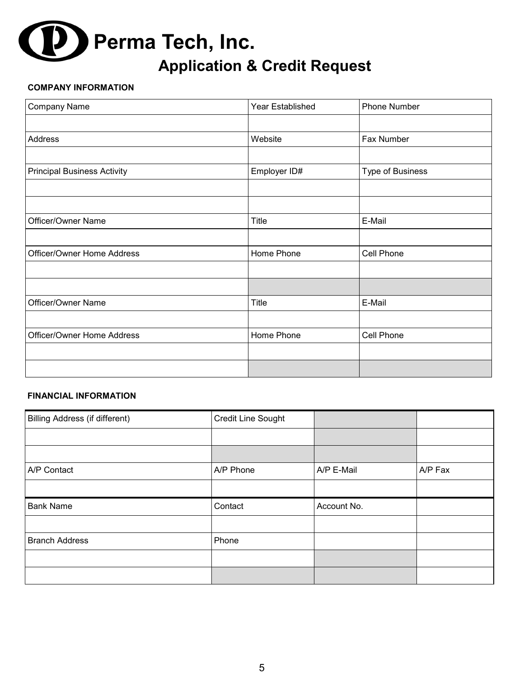# **Application & Credit Request Perma Tech, Inc.**

#### **COMPANY INFORMATION**

| Company Name                       | Year Established | Phone Number     |
|------------------------------------|------------------|------------------|
|                                    |                  |                  |
| Address                            | Website          | Fax Number       |
|                                    |                  |                  |
| <b>Principal Business Activity</b> | Employer ID#     | Type of Business |
|                                    |                  |                  |
|                                    |                  |                  |
| Officer/Owner Name                 | <b>Title</b>     | E-Mail           |
|                                    |                  |                  |
| Officer/Owner Home Address         | Home Phone       | Cell Phone       |
|                                    |                  |                  |
|                                    |                  |                  |
| Officer/Owner Name                 | Title            | E-Mail           |
|                                    |                  |                  |
| Officer/Owner Home Address         | Home Phone       | Cell Phone       |
|                                    |                  |                  |
|                                    |                  |                  |

#### **FINANCIAL INFORMATION**

| Billing Address (if different) | Credit Line Sought |             |         |
|--------------------------------|--------------------|-------------|---------|
|                                |                    |             |         |
|                                |                    |             |         |
| A/P Contact                    | A/P Phone          | A/P E-Mail  | A/P Fax |
|                                |                    |             |         |
| <b>Bank Name</b>               | Contact            | Account No. |         |
|                                |                    |             |         |
| <b>Branch Address</b>          | Phone              |             |         |
|                                |                    |             |         |
|                                |                    |             |         |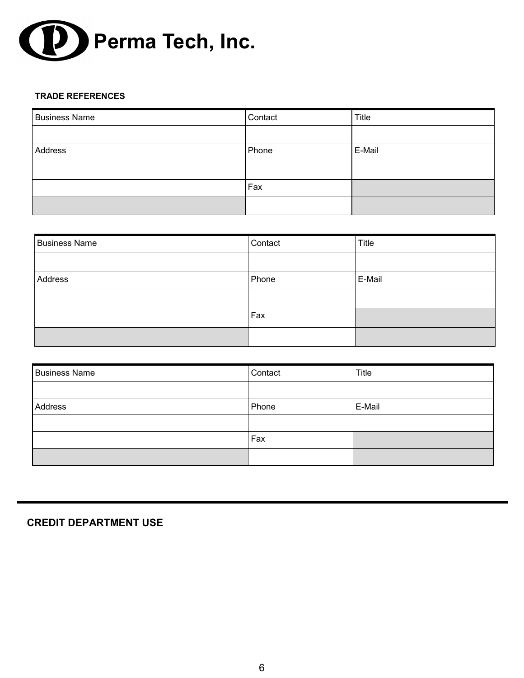

#### **TRADE REFERENCES**

| <b>Business Name</b> | Contact | Title  |
|----------------------|---------|--------|
|                      |         |        |
| Address              | Phone   | E-Mail |
|                      |         |        |
|                      | Fax     |        |
|                      |         |        |

| <b>Business Name</b> | Contact | <b>Title</b> |
|----------------------|---------|--------------|
|                      |         |              |
| Address              | Phone   | E-Mail       |
|                      |         |              |
|                      | Fax     |              |
|                      |         |              |

| <b>Business Name</b> | Contact | Title  |
|----------------------|---------|--------|
|                      |         |        |
| Address              | Phone   | E-Mail |
|                      |         |        |
|                      | Fax     |        |
|                      |         |        |

# **CREDIT DEPARTMENT USE**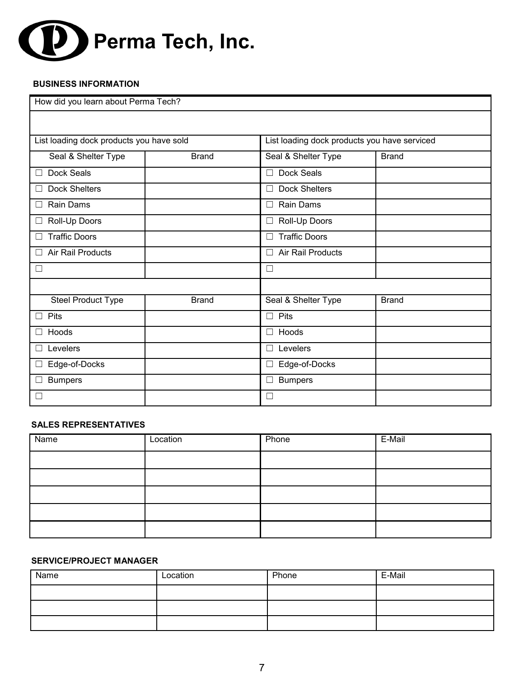

#### **BUSINESS INFORMATION**

| How did you learn about Perma Tech?      |              |                                |                                              |  |
|------------------------------------------|--------------|--------------------------------|----------------------------------------------|--|
|                                          |              |                                |                                              |  |
| List loading dock products you have sold |              |                                | List loading dock products you have serviced |  |
| Seal & Shelter Type                      | <b>Brand</b> | Seal & Shelter Type            | <b>Brand</b>                                 |  |
| Dock Seals                               |              | Dock Seals<br>П                |                                              |  |
| <b>Dock Shelters</b>                     |              | <b>Dock Shelters</b><br>П      |                                              |  |
| Rain Dams                                |              | <b>Rain Dams</b><br>П          |                                              |  |
| Roll-Up Doors                            |              | Roll-Up Doors<br>$\Box$        |                                              |  |
| <b>Traffic Doors</b>                     |              | <b>Traffic Doors</b><br>$\Box$ |                                              |  |
| <b>Air Rail Products</b>                 |              | <b>Air Rail Products</b><br>П  |                                              |  |
| ப                                        |              | $\Box$                         |                                              |  |
|                                          |              |                                |                                              |  |
| <b>Steel Product Type</b>                | <b>Brand</b> | Seal & Shelter Type            | <b>Brand</b>                                 |  |
| Pits                                     |              | Pits<br>$\Box$                 |                                              |  |
| Hoods                                    |              | Hoods<br>$\Box$                |                                              |  |
| Levelers                                 |              | Levelers<br>$\Box$             |                                              |  |
| Edge-of-Docks                            |              | Edge-of-Docks<br>$\Box$        |                                              |  |
| <b>Bumpers</b>                           |              | <b>Bumpers</b><br>⊔            |                                              |  |
| $\Box$                                   |              | □                              |                                              |  |

#### **SALES REPRESENTATIVES**

| Name | Location | Phone | E-Mail |
|------|----------|-------|--------|
|      |          |       |        |
|      |          |       |        |
|      |          |       |        |
|      |          |       |        |
|      |          |       |        |

#### **SERVICE/PROJECT MANAGER**

| Name | Location | Phone | E-Mail |
|------|----------|-------|--------|
|      |          |       |        |
|      |          |       |        |
|      |          |       |        |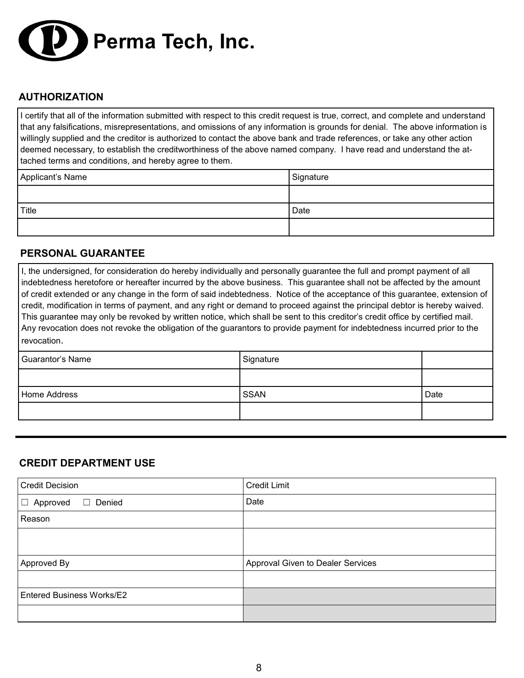

# **AUTHORIZATION**

I certify that all of the information submitted with respect to this credit request is true, correct, and complete and understand that any falsifications, misrepresentations, and omissions of any information is grounds for denial. The above information is willingly supplied and the creditor is authorized to contact the above bank and trade references, or take any other action deemed necessary, to establish the creditworthiness of the above named company. I have read and understand the attached terms and conditions, and hereby agree to them.

| Applicant's Name | Signature |
|------------------|-----------|
|                  |           |
| Title            | Date      |
|                  |           |

## **PERSONAL GUARANTEE**

I, the undersigned, for consideration do hereby individually and personally guarantee the full and prompt payment of all indebtedness heretofore or hereafter incurred by the above business. This guarantee shall not be affected by the amount of credit extended or any change in the form of said indebtedness. Notice of the acceptance of this guarantee, extension of credit, modification in terms of payment, and any right or demand to proceed against the principal debtor is hereby waived. This guarantee may only be revoked by written notice, which shall be sent to this creditor's credit office by certified mail. Any revocation does not revoke the obligation of the guarantors to provide payment for indebtedness incurred prior to the revocation.

| Guarantor's Name | Signature   |      |
|------------------|-------------|------|
|                  |             |      |
| Home Address     | <b>SSAN</b> | Date |
|                  |             |      |

## **CREDIT DEPARTMENT USE**

| <b>Credit Decision</b>              | <b>Credit Limit</b>               |
|-------------------------------------|-----------------------------------|
| $\Box$ Denied<br>Approved<br>$\Box$ | Date                              |
| Reason                              |                                   |
|                                     |                                   |
| Approved By                         | Approval Given to Dealer Services |
|                                     |                                   |
| <b>Entered Business Works/E2</b>    |                                   |
|                                     |                                   |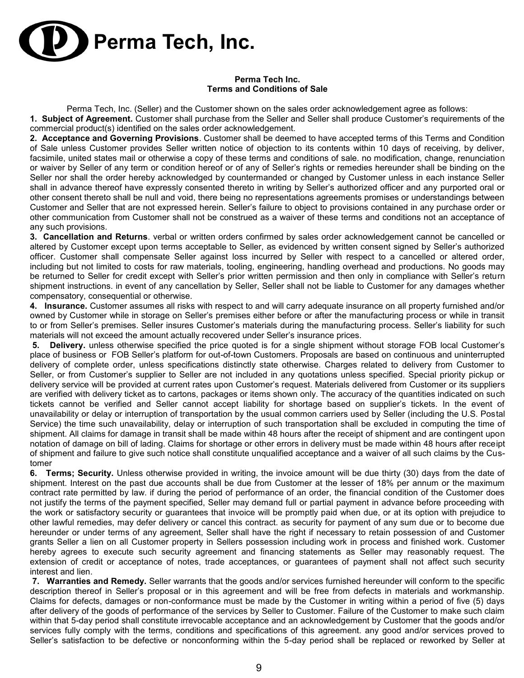

#### **Perma Tech Inc. Terms and Conditions of Sale**

Perma Tech, Inc. (Seller) and the Customer shown on the sales order acknowledgement agree as follows:

**1. Subject of Agreement.** Customer shall purchase from the Seller and Seller shall produce Customer's requirements of the commercial product(s) identified on the sales order acknowledgement.

**2. Acceptance and Governing Provisions**. Customer shall be deemed to have accepted terms of this Terms and Condition of Sale unless Customer provides Seller written notice of objection to its contents within 10 days of receiving, by deliver, facsimile, united states mail or otherwise a copy of these terms and conditions of sale. no modification, change, renunciation or waiver by Seller of any term or condition hereof or of any of Seller's rights or remedies hereunder shall be binding on the Seller nor shall the order hereby acknowledged by countermanded or changed by Customer unless in each instance Seller shall in advance thereof have expressly consented thereto in writing by Seller's authorized officer and any purported oral or other consent thereto shall be null and void, there being no representations agreements promises or understandings between Customer and Seller that are not expressed herein. Seller's failure to object to provisions contained in any purchase order or other communication from Customer shall not be construed as a waiver of these terms and conditions not an acceptance of any such provisions.

**3. Cancellation and Returns**. verbal or written orders confirmed by sales order acknowledgement cannot be cancelled or altered by Customer except upon terms acceptable to Seller, as evidenced by written consent signed by Seller's authorized officer. Customer shall compensate Seller against loss incurred by Seller with respect to a cancelled or altered order, including but not limited to costs for raw materials, tooling, engineering, handling overhead and productions. No goods may be returned to Seller for credit except with Seller's prior written permission and then only in compliance with Seller's return shipment instructions. in event of any cancellation by Seller, Seller shall not be liable to Customer for any damages whether compensatory, consequential or otherwise.

**4. Insurance.** Customer assumes all risks with respect to and will carry adequate insurance on all property furnished and/or owned by Customer while in storage on Seller's premises either before or after the manufacturing process or while in transit to or from Seller's premises. Seller insures Customer's materials during the manufacturing process. Seller's liability for such materials will not exceed the amount actually recovered under Seller's insurance prices.

**5. Delivery.** unless otherwise specified the price quoted is for a single shipment without storage FOB local Customer's place of business or FOB Seller's platform for out-of-town Customers. Proposals are based on continuous and uninterrupted delivery of complete order, unless specifications distinctly state otherwise. Charges related to delivery from Customer to Seller, or from Customer's supplier to Seller are not included in any quotations unless specified. Special priority pickup or delivery service will be provided at current rates upon Customer's request. Materials delivered from Customer or its suppliers are verified with delivery ticket as to cartons, packages or items shown only. The accuracy of the quantities indicated on such tickets cannot be verified and Seller cannot accept liability for shortage based on supplier's tickets. In the event of unavailability or delay or interruption of transportation by the usual common carriers used by Seller (including the U.S. Postal Service) the time such unavailability, delay or interruption of such transportation shall be excluded in computing the time of shipment. All claims for damage in transit shall be made within 48 hours after the receipt of shipment and are contingent upon notation of damage on bill of lading. Claims for shortage or other errors in delivery must be made within 48 hours after receipt of shipment and failure to give such notice shall constitute unqualified acceptance and a waiver of all such claims by the Customer

**6. Terms; Security.** Unless otherwise provided in writing, the invoice amount will be due thirty (30) days from the date of shipment. Interest on the past due accounts shall be due from Customer at the lesser of 18% per annum or the maximum contract rate permitted by law. if during the period of performance of an order, the financial condition of the Customer does not justify the terms of the payment specified, Seller may demand full or partial payment in advance before proceeding with the work or satisfactory security or guarantees that invoice will be promptly paid when due, or at its option with prejudice to other lawful remedies, may defer delivery or cancel this contract. as security for payment of any sum due or to become due hereunder or under terms of any agreement, Seller shall have the right if necessary to retain possession of and Customer grants Seller a lien on all Customer property in Sellers possession including work in process and finished work. Customer hereby agrees to execute such security agreement and financing statements as Seller may reasonably request. The extension of credit or acceptance of notes, trade acceptances, or guarantees of payment shall not affect such security interest and lien.

**7. Warranties and Remedy.** Seller warrants that the goods and/or services furnished hereunder will conform to the specific description thereof in Seller's proposal or in this agreement and will be free from defects in materials and workmanship. Claims for defects, damages or non-conformance must be made by the Customer in writing within a period of five (5) days after delivery of the goods of performance of the services by Seller to Customer. Failure of the Customer to make such claim within that 5-day period shall constitute irrevocable acceptance and an acknowledgement by Customer that the goods and/or services fully comply with the terms, conditions and specifications of this agreement. any good and/or services proved to Seller's satisfaction to be defective or nonconforming within the 5-day period shall be replaced or reworked by Seller at